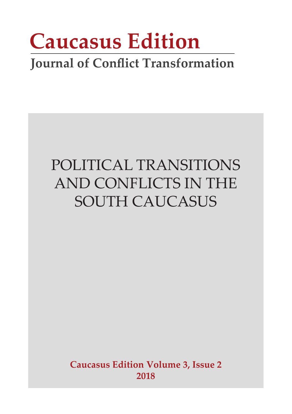# **Caucasus Edition**

### **Journal of Conflict Transformation**

### POLITICAL TRANSITIONS AND CONFLICTS IN THE SOUTH CAUCASUS

**Caucasus Edition Volume 3, Issue 2 2018**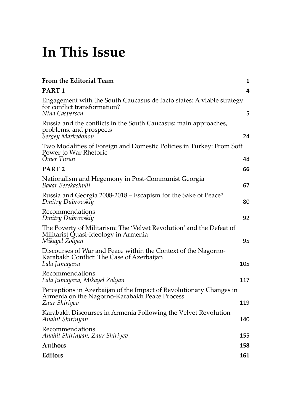### **In This Issue**

| From the Editorial Team                                                                                                               | $\mathbf{1}$ |
|---------------------------------------------------------------------------------------------------------------------------------------|--------------|
| <b>PART1</b>                                                                                                                          | 4            |
| Engagement with the South Caucasus de facto states: A viable strategy<br>for conflict transformation?<br>Nina Caspersen               | 5            |
| Russia and the conflicts in the South Caucasus: main approaches,<br>problems, and prospects<br>Sergey Markedonov                      | 24           |
| Two Modalities of Foreign and Domestic Policies in Turkey: From Soft<br>Power to War Rhetoric<br>Ömer Turan                           | 48           |
| <b>PART2</b>                                                                                                                          | 66           |
| Nationalism and Hegemony in Post-Communist Georgia<br>Bakar Berekashvili                                                              | 67           |
| Russia and Georgia 2008-2018 – Escapism for the Sake of Peace?<br>Dmitry Dubrovskiy                                                   | 80           |
| Recommendations<br>Dmitry Dubrovskiy                                                                                                  | 92           |
| The Poverty of Militarism: The 'Velvet Revolution' and the Defeat of<br>Militarist Quasi-Ideology in Armenia<br>Mikayel Zolyan        | 95           |
| Discourses of War and Peace within the Context of the Nagorno-<br>Karabakh Conflict: The Case of Azerbaijan<br>Lala Jumayeva          | 105          |
| Recommendations<br>Lala Jumayeva, Mikayel Zolyan                                                                                      | 117          |
| Perceptions in Azerbaijan of the Impact of Revolutionary Changes in<br>Armenia on the Nagorno-Karabakh Peace Process<br>Zaur Shiriyev | 119          |
| Karabakh Discourses in Armenia Following the Velvet Revolution<br>Anahit Shirinyan                                                    | 140          |
| Recommendations<br>Anahit Shirinyan, Zaur Shiriyev                                                                                    | 155          |
| Authors                                                                                                                               | 158          |
| Editors                                                                                                                               | 161          |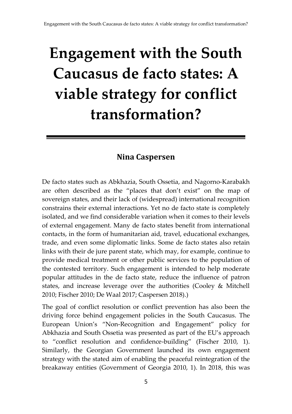## <span id="page-2-0"></span>**Engagement with the South Caucasus de facto states: A viable strategy for conflict transformation?**

#### **Nina Caspersen**

De facto states such as Abkhazia, South Ossetia, and Nagorno-Karabakh are often described as the "places that don't exist" on the map of sovereign states, and their lack of (widespread) international recognition constrains their external interactions. Yet no de facto state is completely isolated, and we find considerable variation when it comes to their levels of external engagement. Many de facto states benefit from international contacts, in the form of humanitarian aid, travel, educational exchanges, trade, and even some diplomatic links. Some de facto states also retain links with their de jure parent state, which may, for example, continue to provide medical treatment or other public services to the population of the contested territory. Such engagement is intended to help moderate popular attitudes in the de facto state, reduce the influence of patron states, and increase leverage over the authorities (Cooley & Mitchell 2010; Fischer 2010; De Waal 2017; Caspersen 2018).)

The goal of conflict resolution or conflict prevention has also been the driving force behind engagement policies in the South Caucasus. The European Union's "Non-Recognition and Engagement" policy for Abkhazia and South Ossetia was presented as part of the EU's approach to "conflict resolution and confidence-building" (Fischer 2010, 1). Similarly, the Georgian Government launched its own engagement strategy with the stated aim of enabling the peaceful reintegration of the breakaway entities (Government of Georgia 2010, 1). In 2018, this was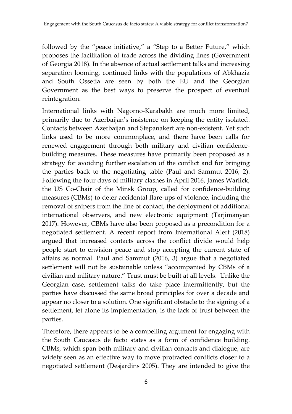followed by the "peace initiative," a "Step to a Better Future," which proposes the facilitation of trade across the dividing lines (Government of Georgia 2018). In the absence of actual settlement talks and increasing separation looming, continued links with the populations of Abkhazia and South Ossetia are seen by both the EU and the Georgian Government as the best ways to preserve the prospect of eventual reintegration.

International links with Nagorno-Karabakh are much more limited, primarily due to Azerbaijan's insistence on keeping the entity isolated. Contacts between Azerbaijan and Stepanakert are non-existent. Yet such links used to be more commonplace, and there have been calls for renewed engagement through both military and civilian confidencebuilding measures. These measures have primarily been proposed as a strategy for avoiding further escalation of the conflict and for bringing the parties back to the negotiating table (Paul and Sammut 2016, 2). Following the four days of military clashes in April 2016, James Warlick, the US Co-Chair of the Minsk Group, called for confidence-building measures (CBMs) to deter accidental flare-ups of violence, including the removal of snipers from the line of contact, the deployment of additional international observers, and new electronic equipment (Tarjimanyan 2017). However, CBMs have also been proposed as a precondition for a negotiated settlement. A recent report from International Alert (2018) argued that increased contacts across the conflict divide would help people start to envision peace and stop accepting the current state of affairs as normal. Paul and Sammut (2016, 3) argue that a negotiated settlement will not be sustainable unless "accompanied by CBMs of a civilian and military nature." Trust must be built at all levels. Unlike the Georgian case, settlement talks do take place intermittently, but the parties have discussed the same broad principles for over a decade and appear no closer to a solution. One significant obstacle to the signing of a settlement, let alone its implementation, is the lack of trust between the parties.

Therefore, there appears to be a compelling argument for engaging with the South Caucasus de facto states as a form of confidence building. CBMs, which span both military and civilian contacts and dialogue, are widely seen as an effective way to move protracted conflicts closer to a negotiated settlement (Desjardins 2005). They are intended to give the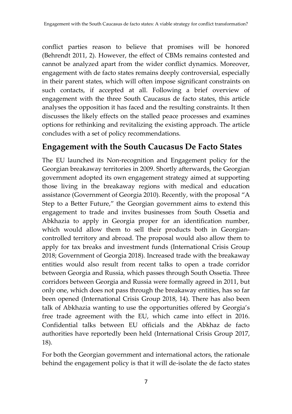conflict parties reason to believe that promises will be honored (Behrendt 2011, 2). However, the effect of CBMs remains contested and cannot be analyzed apart from the wider conflict dynamics. Moreover, engagement with de facto states remains deeply controversial, especially in their parent states, which will often impose significant constraints on such contacts, if accepted at all. Following a brief overview of engagement with the three South Caucasus de facto states, this article analyses the opposition it has faced and the resulting constraints. It then discusses the likely effects on the stalled peace processes and examines options for rethinking and revitalizing the existing approach. The article concludes with a set of policy recommendations.

#### **Engagement with the South Caucasus De Facto States**

The EU launched its Non-recognition and Engagement policy for the Georgian breakaway territories in 2009. Shortly afterwards, the Georgian government adopted its own engagement strategy aimed at supporting those living in the breakaway regions with medical and education assistance (Government of Georgia 2010). Recently, with the proposal "A Step to a Better Future," the Georgian government aims to extend this engagement to trade and invites businesses from South Ossetia and Abkhazia to apply in Georgia proper for an identification number, which would allow them to sell their products both in Georgiancontrolled territory and abroad. The proposal would also allow them to apply for tax breaks and investment funds (International Crisis Group 2018; Government of Georgia 2018). Increased trade with the breakaway entities would also result from recent talks to open a trade corridor between Georgia and Russia, which passes through South Ossetia. Three corridors between Georgia and Russia were formally agreed in 2011, but only one, which does not pass through the breakaway entities, has so far been opened (International Crisis Group 2018, 14). There has also been talk of Abkhazia wanting to use the opportunities offered by Georgia's free trade agreement with the EU, which came into effect in 2016. Confidential talks between EU officials and the Abkhaz de facto authorities have reportedly been held (International Crisis Group 2017, 18).

For both the Georgian government and international actors, the rationale behind the engagement policy is that it will de-isolate the de facto states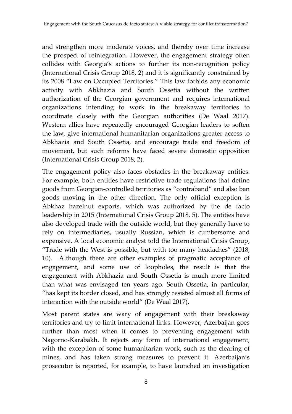and strengthen more moderate voices, and thereby over time increase the prospect of reintegration. However, the engagement strategy often collides with Georgia's actions to further its non-recognition policy (International Crisis Group 2018, 2) and it is significantly constrained by its 2008 "Law on Occupied Territories." This law forbids any economic activity with Abkhazia and South Ossetia without the written authorization of the Georgian government and requires international organizations intending to work in the breakaway territories to coordinate closely with the Georgian authorities (De Waal 2017). Western allies have repeatedly encouraged Georgian leaders to soften the law, give international humanitarian organizations greater access to Abkhazia and South Ossetia, and encourage trade and freedom of movement, but such reforms have faced severe domestic opposition (International Crisis Group 2018, 2).

The engagement policy also faces obstacles in the breakaway entities. For example, both entities have restrictive trade regulations that define goods from Georgian-controlled territories as "contraband" and also ban goods moving in the other direction. The only official exception is Abkhaz hazelnut exports, which was authorized by the de facto leadership in 2015 (International Crisis Group 2018, 5). The entities have also developed trade with the outside world, but they generally have to rely on intermediaries, usually Russian, which is cumbersome and expensive. A local economic analyst told the International Crisis Group, "Trade with the West is possible, but with too many headaches" (2018, 10). Although there are other examples of pragmatic acceptance of engagement, and some use of loopholes, the result is that the engagement with Abkhazia and South Ossetia is much more limited than what was envisaged ten years ago. South Ossetia, in particular, "has kept its border closed, and has strongly resisted almost all forms of interaction with the outside world" (De Waal 2017).

Most parent states are wary of engagement with their breakaway territories and try to limit international links. However, Azerbaijan goes further than most when it comes to preventing engagement with Nagorno-Karabakh. It rejects any form of international engagement, with the exception of some humanitarian work, such as the clearing of mines, and has taken strong measures to prevent it. Azerbaijan's prosecutor is reported, for example, to have launched an investigation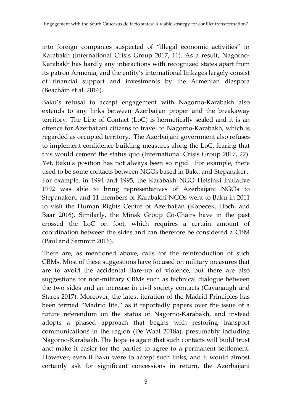into foreign companies suspected of "illegal economic activities" in Karabakh (International Crisis Group 2017, 11). As a result, Nagorno-Karabakh has hardly any interactions with recognized states apart from its patron Armenia, and the entity's international linkages largely consist of financial support and investments by the Armenian diaspora (Beacháin et al. 2016).

Baku's refusal to accept engagement with Nagorno-Karabakh also extends to any links between Azerbaijan proper and the breakaway territory. The Line of Contact (LoC) is hermetically sealed and it is an offence for Azerbaijani citizens to travel to Nagorno-Karabakh, which is regarded as occupied territory. The Azerbaijani government also refuses to implement confidence-building measures along the LoC, fearing that this would cement the status quo (International Crisis Group 2017, 22). Yet, Baku's position has not always been so rigid. For example, there used to be some contacts between NGOs based in Baku and Stepanakert. For example, in 1994 and 1995, the Karabakh NGO Helsinki Initiative 1992 was able to bring representatives of Azerbaijani NGOs to Stepanakert, and 11 members of Karabakhi NGOs went to Baku in 2011 to visit the Human Rights Centre of Azerbaijan (Kopecek, Hoch, and Baar 2016). Similarly, the Minsk Group Co-Chairs have in the past crossed the LoC on foot, which requires a certain amount of coordination between the sides and can therefore be considered a CBM (Paul and Sammut 2016).

There are, as mentioned above, calls for the reintroduction of such CBMs. Most of these suggestions have focused on military measures that are to avoid the accidental flare-up of violence, but there are also suggestions for non-military CBMs such as technical dialogue between the two sides and an increase in civil society contacts (Cavanaugh and Stares 2017). Moreover, the latest iteration of the Madrid Principles has been termed "Madrid lite," as it reportedly papers over the issue of a future referendum on the status of Nagorno-Karabakh, and instead adopts a phased approach that begins with restoring transport communications in the region (De Waal 2018a), presumably including Nagorno-Karabakh. The hope is again that such contacts will build trust and make it easier for the parties to agree to a permanent settlement. However, even if Baku were to accept such links, and it would almost certainly ask for significant concessions in return, the Azerbaijani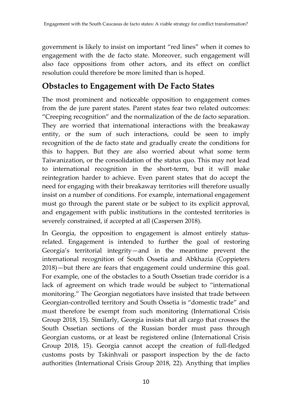government is likely to insist on important "red lines" when it comes to engagement with the de facto state. Moreover, such engagement will also face oppositions from other actors, and its effect on conflict resolution could therefore be more limited than is hoped.

#### **Obstacles to Engagement with De Facto States**

The most prominent and noticeable opposition to engagement comes from the de jure parent states. Parent states fear two related outcomes: "Creeping recognition" and the normalization of the de facto separation. They are worried that international interactions with the breakaway entity, or the sum of such interactions, could be seen to imply recognition of the de facto state and gradually create the conditions for this to happen. But they are also worried about what some term Taiwanization, or the consolidation of the status quo. This may not lead to international recognition in the short-term, but it will make reintegration harder to achieve. Even parent states that do accept the need for engaging with their breakaway territories will therefore usually insist on a number of conditions. For example, international engagement must go through the parent state or be subject to its explicit approval, and engagement with public institutions in the contested territories is severely constrained, if accepted at all (Caspersen 2018).

In Georgia, the opposition to engagement is almost entirely statusrelated. Engagement is intended to further the goal of restoring Georgia's territorial integrity—and in the meantime prevent the international recognition of South Ossetia and Abkhazia (Coppieters 2018)—but there are fears that engagement could undermine this goal. For example, one of the obstacles to a South Ossetian trade corridor is a lack of agreement on which trade would be subject to "international monitoring." The Georgian negotiators have insisted that trade between Georgian-controlled territory and South Ossetia is "domestic trade" and must therefore be exempt from such monitoring (International Crisis Group 2018, 15). Similarly, Georgia insists that all cargo that crosses the South Ossetian sections of the Russian border must pass through Georgian customs, or at least be registered online (International Crisis Group 2018, 15). Georgia cannot accept the creation of full-fledged customs posts by Tskinhvali or passport inspection by the de facto authorities (International Crisis Group 2018, 22). Anything that implies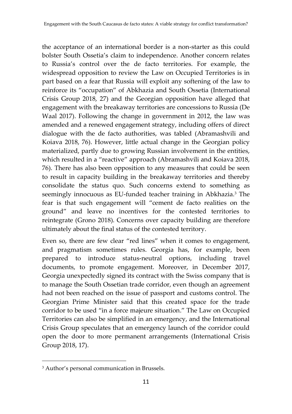the acceptance of an international border is a non-starter as this could bolster South Ossetia's claim to independence. Another concern relates to Russia's control over the de facto territories. For example, the widespread opposition to review the Law on Occupied Territories is in part based on a fear that Russia will exploit any softening of the law to reinforce its "occupation" of Abkhazia and South Ossetia (International Crisis Group 2018, 27) and the Georgian opposition have alleged that engagement with the breakaway territories are concessions to Russia (De Waal 2017). Following the change in government in 2012, the law was amended and a renewed engagement strategy, including offers of direct dialogue with the de facto authorities, was tabled (Abramashvili and Koiava 2018, 76). However, little actual change in the Georgian policy materialized, partly due to growing Russian involvement in the entities, which resulted in a "reactive" approach (Abramashvili and Koiava 2018, 76). There has also been opposition to any measures that could be seen to result in capacity building in the breakaway territories and thereby consolidate the status quo. Such concerns extend to something as seemingly innocuous as EU-funded teacher training in Abkhazia.<sup>3</sup> The fear is that such engagement will "cement de facto realities on the ground" and leave no incentives for the contested territories to reintegrate (Grono 2018). Concerns over capacity building are therefore ultimately about the final status of the contested territory.

Even so, there are few clear "red lines" when it comes to engagement, and pragmatism sometimes rules. Georgia has, for example, been prepared to introduce status-neutral options, including travel documents, to promote engagement. Moreover, in December 2017, Georgia unexpectedly signed its contract with the Swiss company that is to manage the South Ossetian trade corridor, even though an agreement had not been reached on the issue of passport and customs control. The Georgian Prime Minister said that this created space for the trade corridor to be used "in a force majeure situation." The Law on Occupied Territories can also be simplified in an emergency, and the International Crisis Group speculates that an emergency launch of the corridor could open the door to more permanent arrangements (International Crisis Group 2018, 17).

 $\overline{\phantom{a}}$ 

<sup>3</sup> Author's personal communication in Brussels.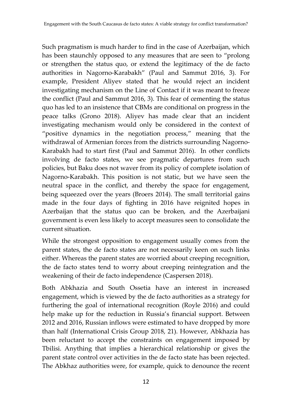Such pragmatism is much harder to find in the case of Azerbaijan, which has been staunchly opposed to any measures that are seen to "prolong or strengthen the status quo, or extend the legitimacy of the de facto authorities in Nagorno-Karabakh" (Paul and Sammut 2016, 3). For example, President Aliyev stated that he would reject an incident investigating mechanism on the Line of Contact if it was meant to freeze the conflict (Paul and Sammut 2016, 3). This fear of cementing the status quo has led to an insistence that CBMs are conditional on progress in the peace talks (Grono 2018). Aliyev has made clear that an incident investigating mechanism would only be considered in the context of "positive dynamics in the negotiation process," meaning that the withdrawal of Armenian forces from the districts surrounding Nagorno-Karabakh had to start first (Paul and Sammut 2016). In other conflicts involving de facto states, we see pragmatic departures from such policies, but Baku does not waver from its policy of complete isolation of Nagorno-Karabakh. This position is not static, but we have seen the neutral space in the conflict, and thereby the space for engagement, being squeezed over the years (Broers 2014). The small territorial gains made in the four days of fighting in 2016 have reignited hopes in Azerbaijan that the status quo can be broken, and the Azerbaijani government is even less likely to accept measures seen to consolidate the current situation.

While the strongest opposition to engagement usually comes from the parent states, the de facto states are not necessarily keen on such links either. Whereas the parent states are worried about creeping recognition, the de facto states tend to worry about creeping reintegration and the weakening of their de facto independence (Caspersen 2018).

Both Abkhazia and South Ossetia have an interest in increased engagement, which is viewed by the de facto authorities as a strategy for furthering the goal of international recognition (Royle 2016) and could help make up for the reduction in Russia's financial support. Between 2012 and 2016, Russian inflows were estimated to have dropped by more than half (International Crisis Group 2018, 21). However, Abkhazia has been reluctant to accept the constraints on engagement imposed by Tbilisi. Anything that implies a hierarchical relationship or gives the parent state control over activities in the de facto state has been rejected. The Abkhaz authorities were, for example, quick to denounce the recent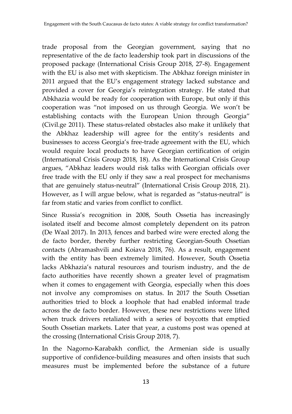trade proposal from the Georgian government, saying that no representative of the de facto leadership took part in discussions of the proposed package (International Crisis Group 2018, 27-8). Engagement with the EU is also met with skepticism. The Abkhaz foreign minister in 2011 argued that the EU's engagement strategy lacked substance and provided a cover for Georgia's reintegration strategy. He stated that Abkhazia would be ready for cooperation with Europe, but only if this cooperation was "not imposed on us through Georgia. We won't be establishing contacts with the European Union through Georgia" (Civil.ge 2011). These status-related obstacles also make it unlikely that the Abkhaz leadership will agree for the entity's residents and businesses to access Georgia's free-trade agreement with the EU, which would require local products to have Georgian certification of origin (International Crisis Group 2018, 18). As the International Crisis Group argues, "Abkhaz leaders would risk talks with Georgian officials over free trade with the EU only if they saw a real prospect for mechanisms that are genuinely status-neutral" (International Crisis Group 2018, 21). However, as I will argue below, what is regarded as "status-neutral" is far from static and varies from conflict to conflict.

Since Russia's recognition in 2008, South Ossetia has increasingly isolated itself and become almost completely dependent on its patron (De Waal 2017). In 2013, fences and barbed wire were erected along the de facto border, thereby further restricting Georgian-South Ossetian contacts (Abramashvili and Koiava 2018, 76). As a result, engagement with the entity has been extremely limited. However, South Ossetia lacks Abkhazia's natural resources and tourism industry, and the de facto authorities have recently shown a greater level of pragmatism when it comes to engagement with Georgia, especially when this does not involve any compromises on status. In 2017 the South Ossetian authorities tried to block a loophole that had enabled informal trade across the de facto border. However, these new restrictions were lifted when truck drivers retaliated with a series of boycotts that emptied South Ossetian markets. Later that year, a customs post was opened at the crossing (International Crisis Group 2018, 7).

In the Nagorno-Karabakh conflict, the Armenian side is usually supportive of confidence-building measures and often insists that such measures must be implemented before the substance of a future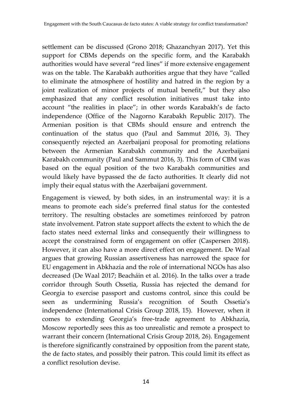settlement can be discussed (Grono 2018; Ghazanchyan 2017). Yet this support for CBMs depends on the specific form, and the Karabakh authorities would have several "red lines" if more extensive engagement was on the table. The Karabakh authorities argue that they have "called to eliminate the atmosphere of hostility and hatred in the region by a joint realization of minor projects of mutual benefit," but they also emphasized that any conflict resolution initiatives must take into account "the realities in place"; in other words Karabakh's de facto independence (Office of the Nagorno Karabakh Republic 2017). The Armenian position is that CBMs should ensure and entrench the continuation of the status quo (Paul and Sammut 2016, 3). They consequently rejected an Azerbaijani proposal for promoting relations between the Armenian Karabakh community and the Azerbaijani Karabakh community (Paul and Sammut 2016, 3). This form of CBM was based on the equal position of the two Karabakh communities and would likely have bypassed the de facto authorities. It clearly did not imply their equal status with the Azerbaijani government.

Engagement is viewed, by both sides, in an instrumental way: it is a means to promote each side's preferred final status for the contested territory. The resulting obstacles are sometimes reinforced by patron state involvement. Patron state support affects the extent to which the de facto states need external links and consequently their willingness to accept the constrained form of engagement on offer (Caspersen 2018). However, it can also have a more direct effect on engagement. De Waal argues that growing Russian assertiveness has narrowed the space for EU engagement in Abkhazia and the role of international NGOs has also decreased (De Waal 2017; Beacháin et al. 2016). In the talks over a trade corridor through South Ossetia, Russia has rejected the demand for Georgia to exercise passport and customs control, since this could be seen as undermining Russia's recognition of South Ossetia's independence (International Crisis Group 2018, 15). However, when it comes to extending Georgia's free-trade agreement to Abkhazia, Moscow reportedly sees this as too unrealistic and remote a prospect to warrant their concern (International Crisis Group 2018, 26). Engagement is therefore significantly constrained by opposition from the parent state, the de facto states, and possibly their patron. This could limit its effect as a conflict resolution devise.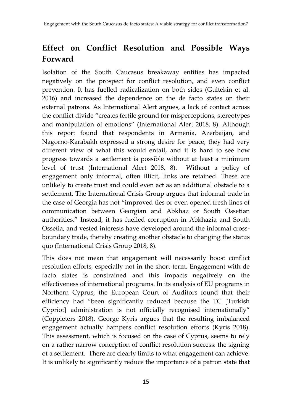#### **Effect on Conflict Resolution and Possible Ways Forward**

Isolation of the South Caucasus breakaway entities has impacted negatively on the prospect for conflict resolution, and even conflict prevention. It has fuelled radicalization on both sides (Gultekin et al. 2016) and increased the dependence on the de facto states on their external patrons. As International Alert argues, a lack of contact across the conflict divide "creates fertile ground for misperceptions, stereotypes and manipulation of emotions" (International Alert 2018, 8). Although this report found that respondents in Armenia, Azerbaijan, and Nagorno-Karabakh expressed a strong desire for peace, they had very different view of what this would entail, and it is hard to see how progress towards a settlement is possible without at least a minimum level of trust (International Alert 2018, 8). Without a policy of engagement only informal, often illicit, links are retained. These are unlikely to create trust and could even act as an additional obstacle to a settlement. The International Crisis Group argues that informal trade in the case of Georgia has not "improved ties or even opened fresh lines of communication between Georgian and Abkhaz or South Ossetian authorities." Instead, it has fuelled corruption in Abkhazia and South Ossetia, and vested interests have developed around the informal crossboundary trade, thereby creating another obstacle to changing the status quo (International Crisis Group 2018, 8).

This does not mean that engagement will necessarily boost conflict resolution efforts, especially not in the short-term. Engagement with de facto states is constrained and this impacts negatively on the effectiveness of international programs. In its analysis of EU programs in Northern Cyprus, the European Court of Auditors found that their efficiency had "been significantly reduced because the TC [Turkish Cypriot] administration is not officially recognised internationally" (Coppieters 2018). George Kyris argues that the resulting imbalanced engagement actually hampers conflict resolution efforts (Kyris 2018). This assessment, which is focused on the case of Cyprus, seems to rely on a rather narrow conception of conflict resolution success: the signing of a settlement. There are clearly limits to what engagement can achieve. It is unlikely to significantly reduce the importance of a patron state that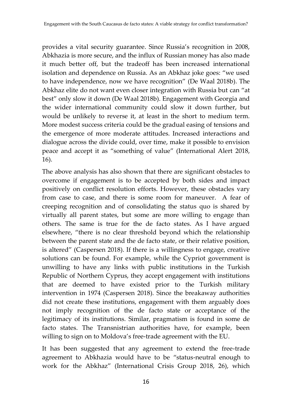provides a vital security guarantee. Since Russia's recognition in 2008, Abkhazia is more secure, and the influx of Russian money has also made it much better off, but the tradeoff has been increased international isolation and dependence on Russia. As an Abkhaz joke goes: "we used to have independence, now we have recognition" (De Waal 2018b). The Abkhaz elite do not want even closer integration with Russia but can "at best" only slow it down (De Waal 2018b). Engagement with Georgia and the wider international community could slow it down further, but would be unlikely to reverse it, at least in the short to medium term. More modest success criteria could be the gradual easing of tensions and the emergence of more moderate attitudes. Increased interactions and dialogue across the divide could, over time, make it possible to envision peace and accept it as "something of value" (International Alert 2018, 16).

The above analysis has also shown that there are significant obstacles to overcome if engagement is to be accepted by both sides and impact positively on conflict resolution efforts. However, these obstacles vary from case to case, and there is some room for maneuver. A fear of creeping recognition and of consolidating the status quo is shared by virtually all parent states, but some are more willing to engage than others. The same is true for the de facto states. As I have argued elsewhere, "there is no clear threshold beyond which the relationship between the parent state and the de facto state, or their relative position, is altered" (Caspersen 2018). If there is a willingness to engage, creative solutions can be found. For example, while the Cypriot government is unwilling to have any links with public institutions in the Turkish Republic of Northern Cyprus, they accept engagement with institutions that are deemed to have existed prior to the Turkish military intervention in 1974 (Caspersen 2018). Since the breakaway authorities did not create these institutions, engagement with them arguably does not imply recognition of the de facto state or acceptance of the legitimacy of its institutions. Similar, pragmatism is found in some de facto states. The Transnistrian authorities have, for example, been willing to sign on to Moldova's free-trade agreement with the EU.

It has been suggested that any agreement to extend the free-trade agreement to Abkhazia would have to be "status-neutral enough to work for the Abkhaz" (International Crisis Group 2018, 26), which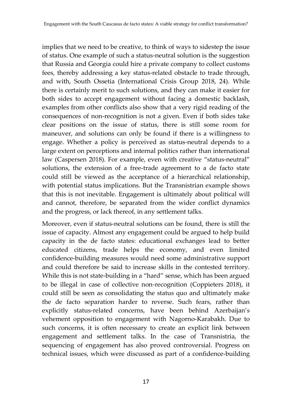implies that we need to be creative, to think of ways to sidestep the issue of status. One example of such a status-neutral solution is the suggestion that Russia and Georgia could hire a private company to collect customs fees, thereby addressing a key status-related obstacle to trade through, and with, South Ossetia (International Crisis Group 2018, 24). While there is certainly merit to such solutions, and they can make it easier for both sides to accept engagement without facing a domestic backlash, examples from other conflicts also show that a very rigid reading of the consequences of non-recognition is not a given. Even if both sides take clear positions on the issue of status, there is still some room for maneuver, and solutions can only be found if there is a willingness to engage. Whether a policy is perceived as status-neutral depends to a large extent on perceptions and internal politics rather than international law (Caspersen 2018). For example, even with creative "status-neutral" solutions, the extension of a free-trade agreement to a de facto state could still be viewed as the acceptance of a hierarchical relationship, with potential status implications. But the Transnistrian example shows that this is not inevitable. Engagement is ultimately about political will and cannot, therefore, be separated from the wider conflict dynamics and the progress, or lack thereof, in any settlement talks.

Moreover, even if status-neutral solutions can be found, there is still the issue of capacity. Almost any engagement could be argued to help build capacity in the de facto states: educational exchanges lead to better educated citizens, trade helps the economy, and even limited confidence-building measures would need some administrative support and could therefore be said to increase skills in the contested territory. While this is not state-building in a "hard" sense, which has been argued to be illegal in case of collective non-recognition (Coppieters 2018), it could still be seen as consolidating the status quo and ultimately make the de facto separation harder to reverse. Such fears, rather than explicitly status-related concerns, have been behind Azerbaijan's vehement opposition to engagement with Nagorno-Karabakh. Due to such concerns, it is often necessary to create an explicit link between engagement and settlement talks. In the case of Transnistria, the sequencing of engagement has also proved controversial. Progress on technical issues, which were discussed as part of a confidence-building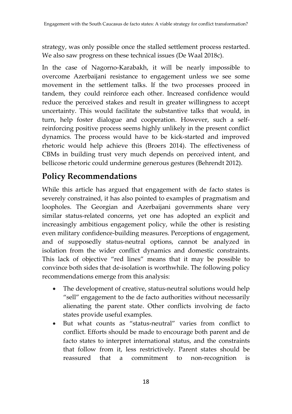strategy, was only possible once the stalled settlement process restarted. We also saw progress on these technical issues (De Waal 2018c).

In the case of Nagorno-Karabakh, it will be nearly impossible to overcome Azerbaijani resistance to engagement unless we see some movement in the settlement talks. If the two processes proceed in tandem, they could reinforce each other. Increased confidence would reduce the perceived stakes and result in greater willingness to accept uncertainty. This would facilitate the substantive talks that would, in turn, help foster dialogue and cooperation. However, such a selfreinforcing positive process seems highly unlikely in the present conflict dynamics. The process would have to be kick-started and improved rhetoric would help achieve this (Broers 2014). The effectiveness of CBMs in building trust very much depends on perceived intent, and bellicose rhetoric could undermine generous gestures (Behrendt 2012).

#### **Policy Recommendations**

While this article has argued that engagement with de facto states is severely constrained, it has also pointed to examples of pragmatism and loopholes. The Georgian and Azerbaijani governments share very similar status-related concerns, yet one has adopted an explicit and increasingly ambitious engagement policy, while the other is resisting even military confidence-building measures. Perceptions of engagement, and of supposedly status-neutral options, cannot be analyzed in isolation from the wider conflict dynamics and domestic constraints. This lack of objective "red lines" means that it may be possible to convince both sides that de-isolation is worthwhile. The following policy recommendations emerge from this analysis:

- The development of creative, status-neutral solutions would help "sell" engagement to the de facto authorities without necessarily alienating the parent state. Other conflicts involving de facto states provide useful examples.
- But what counts as "status-neutral" varies from conflict to conflict. Efforts should be made to encourage both parent and de facto states to interpret international status, and the constraints that follow from it, less restrictively. Parent states should be reassured that a commitment to non-recognition is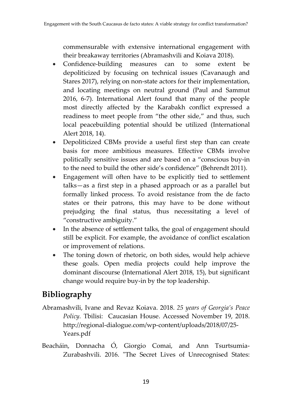commensurable with extensive international engagement with their breakaway territories (Abramashvili and Koiava 2018).

- Confidence-building measures can to some extent be depoliticized by focusing on technical issues (Cavanaugh and Stares 2017), relying on non-state actors for their implementation, and locating meetings on neutral ground (Paul and Sammut 2016, 6-7). International Alert found that many of the people most directly affected by the Karabakh conflict expressed a readiness to meet people from "the other side," and thus, such local peacebuilding potential should be utilized (International Alert 2018, 14).
- Depoliticized CBMs provide a useful first step than can create basis for more ambitious measures. Effective CBMs involve politically sensitive issues and are based on a "conscious buy-in to the need to build the other side's confidence" (Behrendt 2011).
- Engagement will often have to be explicitly tied to settlement talks—as a first step in a phased approach or as a parallel but formally linked process. To avoid resistance from the de facto states or their patrons, this may have to be done without prejudging the final status, thus necessitating a level of "constructive ambiguity."
- In the absence of settlement talks, the goal of engagement should still be explicit. For example, the avoidance of conflict escalation or improvement of relations.
- The toning down of rhetoric, on both sides, would help achieve these goals. Open media projects could help improve the dominant discourse (International Alert 2018, 15), but significant change would require buy-in by the top leadership.

#### **Bibliography**

- Abramashvili, Ivane and Revaz Koiava. 2018. *25 years of Georgia's Peace Policy.* Tbilisi: Caucasian House. Accessed November 19, 2018. [http://regional-dialogue.com/wp-content/uploads/2018/07/25-](http://regional-dialogue.com/wp-content/uploads/2018/07/25-Years.pdf) [Years.pdf](http://regional-dialogue.com/wp-content/uploads/2018/07/25-Years.pdf)
- Beacháin, Donnacha Ó, Giorgio Comai, and Ann Tsurtsumia-Zurabashvili. 2016. "The Secret Lives of Unrecognised States: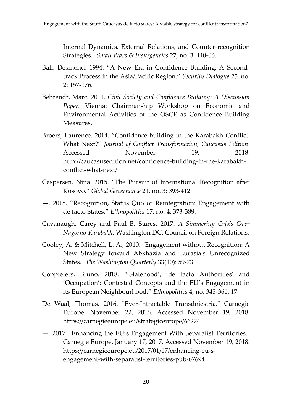Internal Dynamics, External Relations, and Counter-recognition Strategies." *Small Wars & Insurgencies* 27, no. 3: 440-66.

- Ball, Desmond. 1994. "A New Era in Confidence Building: A Secondtrack Process in the Asia/Pacific Region." *Security Dialogue* 25, no. 2: 157-176.
- Behrendt, Marc. 2011. *Civil Society and Confidence Building: A Discussion Paper.* Vienna: Chairmanship Workshop on Economic and Environmental Activities of the OSCE as Confidence Building Measures.
- Broers, Laurence. 2014. "Confidence-building in the Karabakh Conflict: What Next?" *Journal of Conflict Transformation, Caucasus Edition*. Accessed November 19, 2018. http://caucasusedition.net/confidence-building-in-the-karabakhconflict-what-next/
- Caspersen, Nina. 2015. "The Pursuit of International Recognition after Kosovo." *Global Governance* 21, no. 3: 393-412.
- —. 2018. "Recognition, Status Quo or Reintegration: Engagement with de facto States." *Ethnopolitics* 17, no. 4: 373-389.
- Cavanaugh, Carey and Paul B. Stares. 2017. *A Simmering Crisis Over Nagorno-Karabakh.* Washington DC: Council on Foreign Relations.
- Cooley, A. & Mitchell, L. A., 2010. "Engagement without Recognition: A New Strategy toward Abkhazia and Eurasia's Unrecognized States." *The Washington Quarterly* 33(10): 59-73.
- Coppieters, Bruno. 2018. "'Statehood', 'de facto Authorities' and 'Occupation': Contested Concepts and the EU's Engagement in its European Neighbourhood." *Ethnopolitics* 4, no. 343-361: 17.
- De Waal, Thomas. 2016. "Ever-Intractable Transdniestria." Carnegie Europe. November 22, 2016. Accessed November 19, 2018. https://carnegieeurope.eu/strategiceurope/66224
- —. 2017. "Enhancing the EU's Engagement With Separatist Territories." Carnegie Europe. January 17, 2017. Accessed November 19, 2018. https://carnegieeurope.eu/2017/01/17/enhancing-eu-sengagement-with-separatist-territories-pub-67694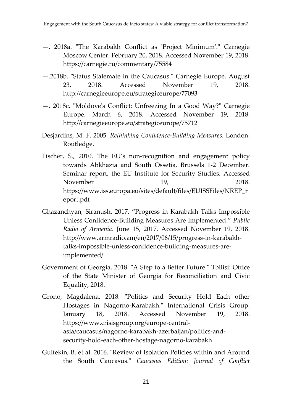- —. 2018a. "The Karabakh Conflict as 'Project Minimum'." Carnegie Moscow Center. February 20, 2018. Accessed November 19, 2018. https://carnegie.ru/commentary/75584
- —.2018b. "Status Stalemate in the Caucasus." Carnegie Europe. August 23, 2018. Accessed November 19, 2018. http://carnegieeurope.eu/strategiceurope/77093
- —. 2018c. "Moldove's Conflict: Unfreezing In a Good Way?" Carnegie Europe. March 6, 2018. Accessed November 19, 2018. http://carnegieeurope.eu/strategiceurope/75712
- Desjardins, M. F. 2005. *Rethinking Confidence-Building Measures.* London: Routledge.
- Fischer, S., 2010. The EU's non-recognition and engagement policy towards Abkhazia and South Ossetia, Brussels 1-2 December. Seminar report, the EU Institute for Security Studies, Accessed November 19, 2018. https://www.iss.europa.eu/sites/default/files/EUISSFiles/NREP\_r eport.pdf
- Ghazanchyan, Siranush. 2017. "Progress in Karabakh Talks Impossible Unless Confidence-Building Measures Are Implemented." *Public Radio of Armenia*. June 15, 2017. Accessed November 19, 2018. http://www.armradio.am/en/2017/06/15/progress-in-karabakhtalks-impossible-unless-confidence-building-measures-areimplemented/
- Government of Georgia. 2018. "A Step to a Better Future." Tbilisi: Office of the State Minister of Georgia for Reconciliation and Civic Equality, 2018.
- Grono, Magdalena. 2018. "Politics and Security Hold Each other Hostages in Nagorno-Karabakh*.*" International Crisis Group. January 18, 2018. Accessed November 19, 2018. https://www.crisisgroup.org/europe-centralasia/caucasus/nagorno-karabakh-azerbaijan/politics-andsecurity-hold-each-other-hostage-nagorno-karabakh
- Gultekin, B. et al. 2016. "Review of Isolation Policies within and Around the South Caucasus." *Caucasus Edition: Journal of Conflict*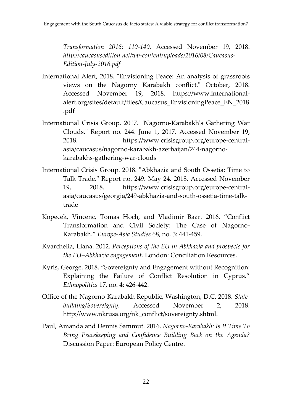*Transformation 2016: 110-140.* Accessed November 19, 2018. *http://caucasusedition.net/wp-content/uploads/2016/08/Caucasus-Edition-July-2016.pdf*

- International Alert, 2018. "Envisioning Peace: An analysis of grassroots views on the Nagorny Karabakh conflict." October, 2018. Accessed November 19, 2018. https://www.internationalalert.org/sites/default/files/Caucasus\_EnvisioningPeace\_EN\_2018 .pdf
- International Crisis Group. 2017. "Nagorno-Karabakh's Gathering War Clouds." Report no. 244. June 1, 2017. Accessed November 19, 2018. https://www.crisisgroup.org/europe-centralasia/caucasus/nagorno-karabakh-azerbaijan/244-nagornokarabakhs-gathering-war-clouds
- International Crisis Group. 2018. "Abkhazia and South Ossetia: Time to Talk Trade." Report no. 249. May 24, 2018. Accessed November 19, 2018. https://www.crisisgroup.org/europe-centralasia/caucasus/georgia/249-abkhazia-and-south-ossetia-time-talktrade
- Kopecek, Vincenc, Tomas Hoch, and Vladimir Baar. 2016. "Conflict Transformation and Civil Society: The Case of Nagorno-Karabakh." *Europe-Asia Studies* 68, no. 3: 441-459.
- Kvarchelia, Liana. 2012. *Perceptions of the EU in Abkhazia and prospects for the EU–Abkhazia engagement.* London: Conciliation Resources.
- Kyris, George. 2018. "Sovereignty and Engagement without Recognition: Explaining the Failure of Conflict Resolution in Cyprus." *Ethnopolitics* 17, no. 4: 426-442.
- Office of the Nagorno-Karabakh Republic, Washington, D.C. 2018. *Statebuilding/Sovereignty.* Accessed November 2, 2018. http://www.nkrusa.org/nk\_conflict/sovereignty.shtml.
- Paul, Amanda and Dennis Sammut. 2016. *Nagorno-Karabakh: Is It Time To Bring Peacekeeping and Confidence Building Back on the Agenda?*  Discussion Paper: European Policy Centre.